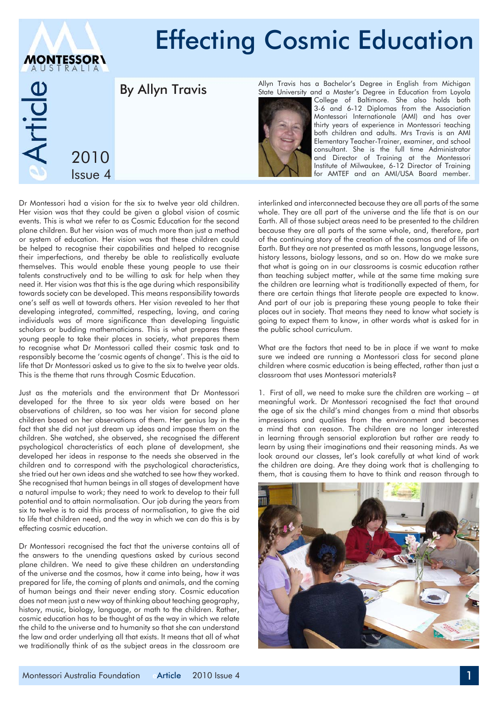## Effecting Cosmic Education **MONTESSOR\** rticle Allyn Travis has a Bachelor's Degree in English from Michigan By Allyn Travis State University and a Master's Degree in Education from Loyola College of Baltimore. She also holds both 3-6 and 6-12 Diplomas from the Association Montessori Internationale (AMI) and has over thirty years of experience in Montessori teaching both children and adults. Mrs Travis is an AMI Elementary Teacher-Trainer, examiner, and school consultant. She is the full time Administrator 2010 and Director of Training at the Montessori Institute of Milwaukee, 6-12 Director of Training Issue 4for AMTEF and an AMI/USA Board member.

Dr Montessori had a vision for the six to twelve year old children. Her vision was that they could be given a global vision of cosmic events. This is what we refer to as Cosmic Education for the second plane children. But her vision was of much more than just a method or system of education. Her vision was that these children could be helped to recognise their capabilities and helped to recognise their imperfections, and thereby be able to realistically evaluate themselves. This would enable these young people to use their talents constructively and to be willing to ask for help when they need it. Her vision was that this is the age during which responsibility towards society can be developed. This means responsibility towards one's self as well at towards others. Her vision revealed to her that developing integrated, committed, respecting, loving, and caring individuals was of more significance than developing linguistic scholars or budding mathematicians. This is what prepares these young people to take their places in society, what prepares them to recognise what Dr Montessori called their cosmic task and to responsibly become the 'cosmic agents of change'. This is the aid to life that Dr Montessori asked us to give to the six to twelve year olds. This is the theme that runs through Cosmic Education.

Just as the materials and the environment that Dr Montessori developed for the three to six year olds were based on her observations of children, so too was her vision for second plane children based on her observations of them. Her genius lay in the fact that she did not just dream up ideas and impose them on the children. She watched, she observed, she recognised the different psychological characteristics of each plane of development, she developed her ideas in response to the needs she observed in the children and to correspond with the psychological characteristics, she tried out her own ideas and she watched to see how they worked. She recognised that human beings in all stages of development have a natural impulse to work; they need to work to develop to their full potential and to attain normalisation. Our job during the years from six to twelve is to aid this process of normalisation, to give the aid to life that children need, and the way in which we can do this is by effecting cosmic education.

Dr Montessori recognised the fact that the universe contains all of the answers to the unending questions asked by curious second plane children. We need to give these children an understanding of the universe and the cosmos, how it came into being, how it was prepared for life, the coming of plants and animals, and the coming of human beings and their never ending story. Cosmic education does not mean just a new way of thinking about teaching geography, history, music, biology, language, or math to the children. Rather, cosmic education has to be thought of as the way in which we relate the child to the universe and to humanity so that she can understand the law and order underlying all that exists. It means that all of what we traditionally think of as the subject areas in the classroom are

interlinked and interconnected because they are all parts of the same whole. They are all part of the universe and the life that is on our Earth. All of those subject areas need to be presented to the children because they are all parts of the same whole, and, therefore, part of the continuing story of the creation of the cosmos and of life on Earth. But they are not presented as math lessons, language lessons, history lessons, biology lessons, and so on. How do we make sure that what is going on in our classrooms is cosmic education rather than teaching subject matter, while at the same time making sure the children are learning what is traditionally expected of them, for there are certain things that literate people are expected to know. And part of our job is preparing these young people to take their places out in society. That means they need to know what society is going to expect them to know, in other words what is asked for in the public school curriculum.

What are the factors that need to be in place if we want to make sure we indeed are running a Montessori class for second plane children where cosmic education is being effected, rather than just a classroom that uses Montessori materials?

1. First of all, we need to make sure the children are working – at meaningful work. Dr Montessori recognised the fact that around the age of six the child's mind changes from a mind that absorbs impressions and qualities from the environment and becomes a mind that can reason. The children are no longer interested in learning through sensorial exploration but rather are ready to learn by using their imaginations and their reasoning minds. As we look around our classes, let's look carefully at what kind of work the children are doing. Are they doing work that is challenging to them, that is causing them to have to think and reason through to

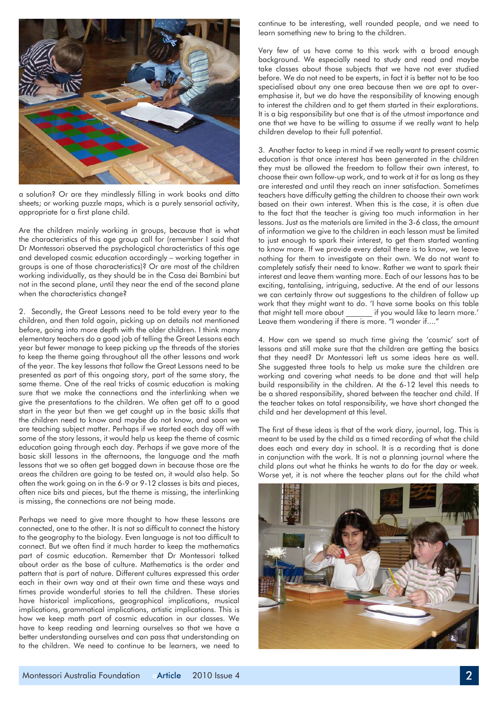

a solution? Or are they mindlessly filling in work books and ditto sheets; or working puzzle maps, which is a purely sensorial activity, appropriate for a first plane child.

Are the children mainly working in groups, because that is what the characteristics of this age group call for (remember I said that Dr Montessori observed the psychological characteristics of this age and developed cosmic education accordingly – working together in groups is one of those characteristics)? Or are most of the children working individually, as they should be in the Casa dei Bambini but not in the second plane, until they near the end of the second plane when the characteristics change?

2. Secondly, the Great Lessons need to be told every year to the children, and then told again, picking up on details not mentioned before, going into more depth with the older children. I think many elementary teachers do a good job of telling the Great Lessons each year but fewer manage to keep picking up the threads of the stories to keep the theme going throughout all the other lessons and work of the year. The key lessons that follow the Great Lessons need to be presented as part of this ongoing story, part of the same story, the same theme. One of the real tricks of cosmic education is making sure that we make the connections and the interlinking when we give the presentations to the children. We often get off to a good start in the year but then we get caught up in the basic skills that the children need to know and maybe do not know, and soon we are teaching subject matter. Perhaps if we started each day off with some of the story lessons, it would help us keep the theme of cosmic education going through each day. Perhaps if we gave more of the basic skill lessons in the afternoons, the language and the math lessons that we so often get bogged down in because those are the areas the children are going to be tested on, it would also help. So often the work going on in the 6-9 or 9-12 classes is bits and pieces, often nice bits and pieces, but the theme is missing, the interlinking is missing, the connections are not being made.

Perhaps we need to give more thought to how these lessons are connected, one to the other. It is not so difficult to connect the history to the geography to the biology. Even language is not too difficult to connect. But we often find it much harder to keep the mathematics part of cosmic education. Remember that Dr Montessori talked about order as the base of culture. Mathematics is the order and pattern that is part of nature. Different cultures expressed this order each in their own way and at their own time and these ways and times provide wonderful stories to tell the children. These stories have historical implications, geographical implications, musical implications, grammatical implications, artistic implications. This is how we keep math part of cosmic education in our classes. We have to keep reading and learning ourselves so that we have a better understanding ourselves and can pass that understanding on to the children. We need to continue to be learners, we need to continue to be interesting, well rounded people, and we need to learn something new to bring to the children.

Very few of us have come to this work with a broad enough background. We especially need to study and read and maybe take classes about those subjects that we have not ever studied before. We do not need to be experts, in fact it is better not to be too specialised about any one area because then we are apt to overemphasise it, but we do have the responsibility of knowing enough to interest the children and to get them started in their explorations. It is a big responsibility but one that is of the utmost importance and one that we have to be willing to assume if we really want to help children develop to their full potential.

3. Another factor to keep in mind if we really want to present cosmic education is that once interest has been generated in the children they must be allowed the freedom to follow their own interest, to choose their own follow-up work, and to work at it for as long as they are interested and until they reach an inner satisfaction. Sometimes teachers have difficulty getting the children to choose their own work based on their own interest. When this is the case, it is often due to the fact that the teacher is giving too much information in her lessons. Just as the materials are limited in the 3-6 class, the amount of information we give to the children in each lesson must be limited to just enough to spark their interest, to get them started wanting to know more. If we provide every detail there is to know, we leave nothing for them to investigate on their own. We do not want to completely satisfy their need to know. Rather we want to spark their interest and leave them wanting more. Each of our lessons has to be exciting, tantalising, intriguing, seductive. At the end of our lessons we can certainly throw out suggestions to the children of follow up work that they might want to do. 'I have some books on this table that might tell more about \_\_\_\_\_\_\_ if you would like to learn more.' Leave them wondering if there is more. "I wonder if...."

4. How can we spend so much time giving the 'cosmic' sort of lessons and still make sure that the children are getting the basics that they need? Dr Montessori left us some ideas here as well. She suggested three tools to help us make sure the children are working and covering what needs to be done and that will help build responsibility in the children. At the 6-12 level this needs to be a shared responsibility, shared between the teacher and child. If the teacher takes on total responsibility, we have short changed the child and her development at this level.

The first of these ideas is that of the work diary, journal, log. This is meant to be used by the child as a timed recording of what the child does each and every day in school. It is a recording that is done in conjunction with the work. It is not a planning journal where the child plans out what he thinks he wants to do for the day or week. Worse yet, it is not where the teacher plans out for the child what

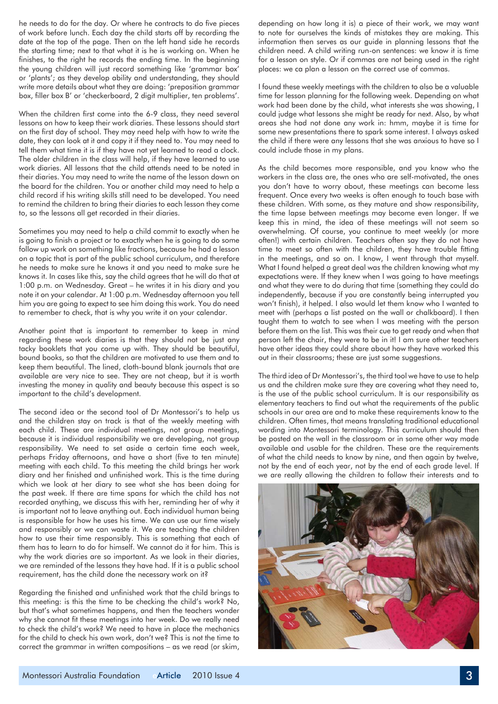he needs to do for the day. Or where he contracts to do five pieces of work before lunch. Each day the child starts off by recording the date at the top of the page. Then on the left hand side he records the starting time; next to that what it is he is working on. When he finishes, to the right he records the ending time. In the beginning the young children will just record something like 'grammar box' or 'plants'; as they develop ability and understanding, they should write more details about what they are doing: 'preposition grammar box, filler box B' or 'checkerboard, 2 digit multiplier, ten problems'.

When the children first come into the 6-9 class, they need several lessons on how to keep their work diaries. These lessons should start on the first day of school. They may need help with how to write the date, they can look at it and copy it if they need to. You may need to tell them what time it is if they have not yet learned to read a clock. The older children in the class will help, if they have learned to use work diaries. All lessons that the child attends need to be noted in their diaries. You may need to write the name of the lesson down on the board for the children. You or another child may need to help a child record if his writing skills still need to be developed. You need to remind the children to bring their diaries to each lesson they come to, so the lessons all get recorded in their diaries.

Sometimes you may need to help a child commit to exactly when he is going to finish a project or to exactly when he is going to do some follow up work on something like fractions, because he had a lesson on a topic that is part of the public school curriculum, and therefore he needs to make sure he knows it and you need to make sure he knows it. In cases like this, say the child agrees that he will do that at 1:00 p.m. on Wednesday. Great – he writes it in his diary and you note it on your calendar. At 1:00 p.m. Wednesday afternoon you tell him you are going to expect to see him doing this work. You do need to remember to check, that is why you write it on your calendar.

Another point that is important to remember to keep in mind regarding these work diaries is that they should not be just any tacky booklets that you come up with. They should be beautiful, bound books, so that the children are motivated to use them and to keep them beautiful. The lined, cloth-bound blank journals that are available are very nice to see. They are not cheap, but it is worth investing the money in quality and beauty because this aspect is so important to the child's development.

The second idea or the second tool of Dr Montessori's to help us and the children stay on track is that of the weekly meeting with each child. These are individual meetings, not group meetings, because it is individual responsibility we are developing, not group responsibility. We need to set aside a certain time each week, perhaps Friday afternoons, and have a short (five to ten minute) meeting with each child. To this meeting the child brings her work diary and her finished and unfinished work. This is the time during which we look at her diary to see what she has been doing for the past week. If there are time spans for which the child has not recorded anything, we discuss this with her, reminding her of why it is important not to leave anything out. Each individual human being is responsible for how he uses his time. We can use our time wisely and responsibly or we can waste it. We are teaching the children how to use their time responsibly. This is something that each of them has to learn to do for himself. We cannot do it for him. This is why the work diaries are so important. As we look in their diaries, we are reminded of the lessons they have had. If it is a public school requirement, has the child done the necessary work on it?

Regarding the finished and unfinished work that the child brings to this meeting: is this the time to be checking the child's work? No, but that's what sometimes happens, and then the teachers wonder why she cannot fit these meetings into her week. Do we really need to check the child's work? We need to have in place the mechanics for the child to check his own work, don't we? This is not the time to correct the grammar in written compositions – as we read (or skim,

depending on how long it is) a piece of their work, we may want to note for ourselves the kinds of mistakes they are making. This information then serves as our guide in planning lessons that the children need. A child writing run-on sentences: we know it is time for a lesson on style. Or if commas are not being used in the right places: we ca plan a lesson on the correct use of commas.

I found these weekly meetings with the children to also be a valuable time for lesson planning for the following week. Depending on what work had been done by the child, what interests she was showing, I could judge what lessons she might be ready for next. Also, by what areas she had not done any work in: hmm, maybe it is time for some new presentations there to spark some interest. I always asked the child if there were any lessons that she was anxious to have so I could include those in my plans.

As the child becomes more responsible, and you know who the workers in the class are, the ones who are self-motivated, the ones you don't have to worry about, these meetings can become less frequent. Once every two weeks is often enough to touch base with these children. With some, as they mature and show responsibility, the time lapse between meetings may become even longer. If we keep this in mind, the idea of these meetings will not seem so overwhelming. Of course, you continue to meet weekly (or more often!) with certain children. Teachers often say they do not have time to meet so often with the children, they have trouble fitting in the meetings, and so on. I know, I went through that myself. What I found helped a great deal was the children knowing what my expectations were. If they knew when I was going to have meetings and what they were to do during that time (something they could do independently, because if you are constantly being interrupted you won't finish), it helped. I also would let them know who I wanted to meet with (perhaps a list posted on the wall or chalkboard). I then taught them to watch to see when I was meeting with the person before them on the list. This was their cue to get ready and when that person left the chair, they were to be in it! I am sure other teachers have other ideas they could share about how they have worked this out in their classrooms; these are just some suggestions.

The third idea of Dr Montessori's, the third tool we have to use to help us and the children make sure they are covering what they need to, is the use of the public school curriculum. It is our responsibility as elementary teachers to find out what the requirements of the public schools in our area are and to make these requirements know to the children. Often times, that means translating traditional educational wording into Montessori terminology. This curriculum should then be posted on the wall in the classroom or in some other way made available and usable for the children. These are the requirements of what the child needs to know by nine, and then again by twelve, not by the end of each year, not by the end of each grade level. If we are really allowing the children to follow their interests and to